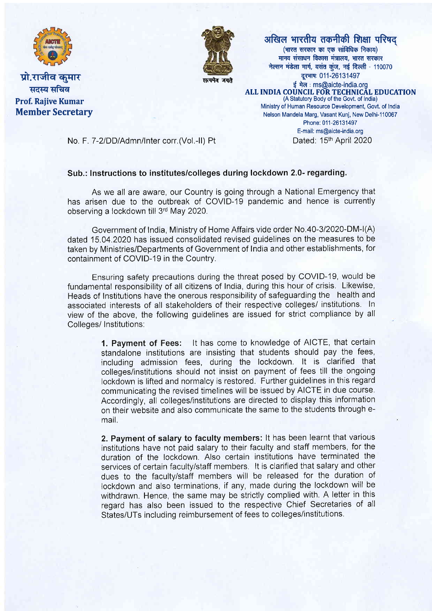

प्रो.राजीव कमार सदस्य सचिव Prof. Raiive Kumar Member Secretary



अखिल भारतीय तकनीकी शिक्षा परिषद  $(m\bar{c})$  (भारत सरकार का एक सांविधिक निकाय) मानव संसाधन विकास मंत्रालय, भारत सरकार नेल्सन मंडेला मार्ग, वसंत कुंज, नई दिल्ली - 110070 दूरभाषः 011-26131497 ई मेल: ms@aicte-india.org ALL INDIA COUNCIL FOR TECHNICAL EDUCATION (A Statutory Body of the Govt. of lndia) Ministry of Human Resource Development, Govt. of lndia Nelson Mandela Marg, Vasant Kunj, New Delhi-110067 Phone: 011-26131497 E-mail: ms@aicte-india.org

No. F. 7-2/DD/Admn/Inter corr.(Vol.-II) Pt Dated: 15<sup>th</sup> April 2020

## Sub.: lnstructions to institutes/colleges during lockdown 2.0- regarding.

As we all are aware, our Country is going through a National Emergency that has arisen due to the outbreak of COVID-19 pandemic and hence is currently observing a lockdown till 3'd May 2020.

Government of lndia, Ministry of Home Affairs vide order No.40-312020-DM-l(A) dated 15.04.2020 has issued consolidated revised guidelines on the measures to be taken by Ministries/Departments of Government of lndia and other establishments, for containment of COVID-19 in the Country.

Ensuring safety precautions during the threat posed by COVID-19, would be fundamental responsibility of all citizens of lndia, during this hour of crisis. Likewise, Heads of lnstitutions have the onerous responsibility of safeguarding the health and associated interests of all stakeholders of their respective colleges/ institutions. ln view of the above, the following guidelines are issued for strict compliance by all Colleges/ Institutions:

> 1. Payment of Fees: lt has come to knowledge of AICTE, that certain standalone institutions are insisting that students should pay the fees, including admission fees, during the lockdown. lt is clarified that colleges/institutions should not insist on payment of fees till the ongoing lockdown is lifted and normalcy is restored. Further guidelines in this regard communicating the revised timelines will be issued by AICTE in due course. Accordingly, all colleges/institutions are directed to display this information on their website and also communicate the same to the students through email.

> 2. Payment of salary to faculty members: lt has been learnt that various institutions have not paid salary to their faculty and staff members, for the duration of the lockdown. Also certain institutions have terminated the services of certain faculty/staff members. lt is clarified that salary and other dues to the faculty/staff members will be released for the duration of lockdown and also terminations, if any, made during the lockdown will be withdrawn. Hence, the same may be strictly complied with. A letter in this regard has also been issued to the respective Chief Secretaries of all States/UTs including reimbursement of fees to colleges/institutions.